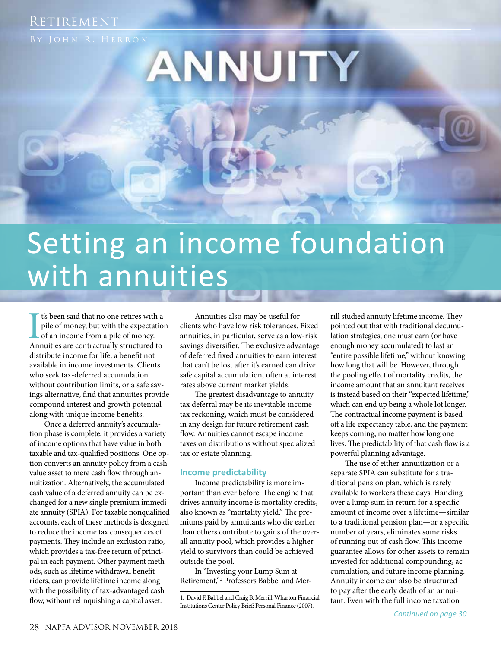### RETIREMENT

# ANNUITY

## Setting an income foundation with annuities

If is been said that no one retires with a pile of money, but with the expectation of an income from a pile of money.<br>Annuities are contractually structured to t's been said that no one retires with a pile of money, but with the expectation of an income from a pile of money. distribute income for life, a benefit not available in income investments. Clients who seek tax-deferred accumulation without contribution limits, or a safe savings alternative, find that annuities provide compound interest and growth potential along with unique income benefits.

Once a deferred annuity's accumulation phase is complete, it provides a variety of income options that have value in both taxable and tax-qualified positions. One option converts an annuity policy from a cash value asset to mere cash flow through annuitization. Alternatively, the accumulated cash value of a deferred annuity can be exchanged for a new single premium immediate annuity (SPIA). For taxable nonqualified accounts, each of these methods is designed to reduce the income tax consequences of payments. They include an exclusion ratio, which provides a tax-free return of principal in each payment. Other payment methods, such as lifetime withdrawal benefit riders, can provide lifetime income along with the possibility of tax-advantaged cash flow, without relinquishing a capital asset.

Annuities also may be useful for clients who have low risk tolerances. Fixed annuities, in particular, serve as a low-risk savings diversifier. The exclusive advantage of deferred fixed annuities to earn interest that can't be lost after it's earned can drive safe capital accumulation, often at interest rates above current market yields.

The greatest disadvantage to annuity tax deferral may be its inevitable income tax reckoning, which must be considered in any design for future retirement cash flow. Annuities cannot escape income taxes on distributions without specialized tax or estate planning.

### **Income predictability**

Income predictability is more important than ever before. The engine that drives annuity income is mortality credits, also known as "mortality yield." The premiums paid by annuitants who die earlier than others contribute to gains of the overall annuity pool, which provides a higher yield to survivors than could be achieved outside the pool.

In "Investing your Lump Sum at Retirement,"<sup>1</sup> Professors Babbel and Merrill studied annuity lifetime income. They pointed out that with traditional decumulation strategies, one must earn (or have enough money accumulated) to last an "entire possible lifetime," without knowing how long that will be. However, through the pooling effect of mortality credits, the income amount that an annuitant receives is instead based on their "expected lifetime," which can end up being a whole lot longer. The contractual income payment is based off a life expectancy table, and the payment keeps coming, no matter how long one lives. The predictability of that cash flow is a powerful planning advantage.

The use of either annuitization or a separate SPIA can substitute for a traditional pension plan, which is rarely available to workers these days. Handing over a lump sum in return for a specific amount of income over a lifetime—similar to a traditional pension plan—or a specific number of years, eliminates some risks of running out of cash flow. This income guarantee allows for other assets to remain invested for additional compounding, accumulation, and future income planning. Annuity income can also be structured to pay after the early death of an annuitant. Even with the full income taxation

<sup>1.</sup> David F. Babbel and Craig B. Merrill, Wharton Financial Institutions Center Policy Brief: Personal Finance (2007).